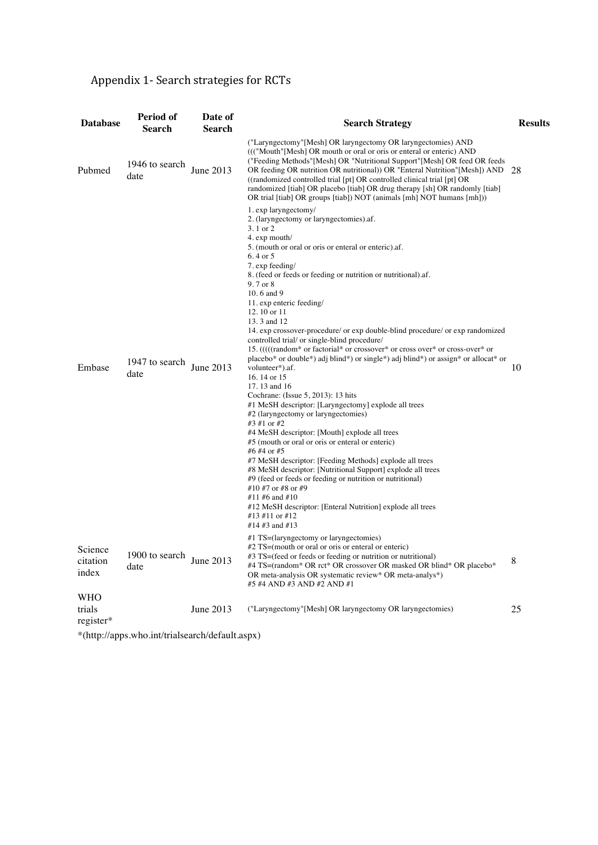## Appendix 1- Search strategies for RCTs

| <b>Database</b>              | Period of              | Date of<br>Search | <b>Search Strategy</b>                                                                                                                                                                                                                                                                                                                                                                                                                                                                                                                                                                                                                                                                                                                                                                                                                                                                                                                                                                                                                                                                                                                                                                                                                                                                                      | <b>Results</b> |
|------------------------------|------------------------|-------------------|-------------------------------------------------------------------------------------------------------------------------------------------------------------------------------------------------------------------------------------------------------------------------------------------------------------------------------------------------------------------------------------------------------------------------------------------------------------------------------------------------------------------------------------------------------------------------------------------------------------------------------------------------------------------------------------------------------------------------------------------------------------------------------------------------------------------------------------------------------------------------------------------------------------------------------------------------------------------------------------------------------------------------------------------------------------------------------------------------------------------------------------------------------------------------------------------------------------------------------------------------------------------------------------------------------------|----------------|
|                              | Search                 |                   |                                                                                                                                                                                                                                                                                                                                                                                                                                                                                                                                                                                                                                                                                                                                                                                                                                                                                                                                                                                                                                                                                                                                                                                                                                                                                                             |                |
| Pubmed                       | 1946 to search<br>date | June 2013         | ("Laryngectomy"[Mesh] OR laryngectomy OR laryngectomies) AND<br>((("Mouth"[Mesh] OR mouth or oral or oris or enteral or enteric) AND<br>("Feeding Methods" [Mesh] OR "Nutritional Support" [Mesh] OR feed OR feeds<br>OR feeding OR nutrition OR nutritional) OR "Enteral Nutrition" [Mesh]) AND 28<br>((randomized controlled trial [pt] OR controlled clinical trial [pt] OR<br>randomized [tiab] OR placebo [tiab] OR drug therapy [sh] OR randomly [tiab]<br>OR trial [tiab] OR groups [tiab]) NOT (animals [mh] NOT humans [mh]))                                                                                                                                                                                                                                                                                                                                                                                                                                                                                                                                                                                                                                                                                                                                                                      |                |
| Embase                       | 1947 to search<br>date | June 2013         | 1. exp laryngectomy/<br>2. (laryngectomy or laryngectomies).af.<br>3.1 or 2<br>4. exp mouth/<br>5. (mouth or oral or oris or enteral or enteric).af.<br>6.4 or 5<br>7. exp feeding/<br>8. (feed or feeds or feeding or nutrition or nutritional) af.<br>9.7 or 8<br>10.6 and 9<br>11. exp enteric feeding/<br>12.10 or 11<br>13.3 and 12<br>14. exp crossover-procedure/ or exp double-blind procedure/ or exp randomized<br>controlled trial/ or single-blind procedure/<br>15. (((((random* or factorial* or crossover* or cross over* or cross-over* or<br>placebo* or double*) adj blind*) or single*) adj blind*) or assign* or allocat* or<br>volunteer*).af.<br>16.14 or 15<br>17.13 and 16<br>Cochrane: (Issue 5, 2013): 13 hits<br>#1 MeSH descriptor: [Laryngectomy] explode all trees<br>#2 (laryngectomy or laryngectomies)<br>#3 #1 or #2<br>#4 MeSH descriptor: [Mouth] explode all trees<br>#5 (mouth or oral or oris or enteral or enteric)<br>#6 #4 or #5<br>#7 MeSH descriptor: [Feeding Methods] explode all trees<br>#8 MeSH descriptor: [Nutritional Support] explode all trees<br>#9 (feed or feeds or feeding or nutrition or nutritional)<br>#10 #7 or #8 or #9<br>#11 #6 and #10<br>#12 MeSH descriptor: [Enteral Nutrition] explode all trees<br>#13 #11 or #12<br>#14 #3 and #13 | 10             |
| Science<br>citation<br>index | 1900 to search<br>date | June 2013         | #1 TS=(laryngectomy or laryngectomies)<br>$#2 TS =$ (mouth or oral or oris or enteral or enteric)<br>#3 TS=(feed or feeds or feeding or nutrition or nutritional)<br>#4 TS=(random* OR rct* OR crossover OR masked OR blind* OR placebo*<br>OR meta-analysis OR systematic review* OR meta-analys*)<br>#5 #4 AND #3 AND #2 AND #1                                                                                                                                                                                                                                                                                                                                                                                                                                                                                                                                                                                                                                                                                                                                                                                                                                                                                                                                                                           | 8              |
| WHO<br>trials<br>register*   |                        | June $2013$       | ("Laryngectomy" [Mesh] OR laryngectomy OR laryngectomies)                                                                                                                                                                                                                                                                                                                                                                                                                                                                                                                                                                                                                                                                                                                                                                                                                                                                                                                                                                                                                                                                                                                                                                                                                                                   | 25             |
|                              |                        |                   |                                                                                                                                                                                                                                                                                                                                                                                                                                                                                                                                                                                                                                                                                                                                                                                                                                                                                                                                                                                                                                                                                                                                                                                                                                                                                                             |                |

\*(http://apps.who.int/trialsearch/default.aspx)